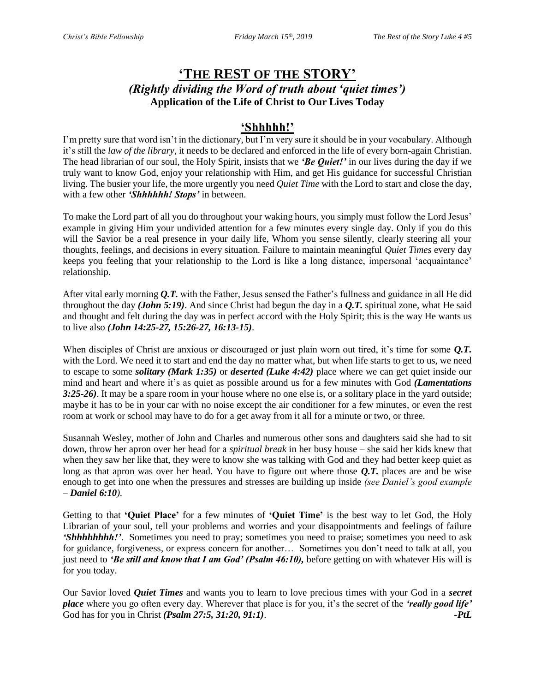## **'THE REST OF THE STORY'** *(Rightly dividing the Word of truth about 'quiet times')* **Application of the Life of Christ to Our Lives Today**

### **'Shhhhh!'**

I'm pretty sure that word isn't in the dictionary, but I'm very sure it should be in your vocabulary. Although it's still the *law of the library*, it needs to be declared and enforced in the life of every born-again Christian. The head librarian of our soul, the Holy Spirit, insists that we *'Be Quiet!'* in our lives during the day if we truly want to know God, enjoy your relationship with Him, and get His guidance for successful Christian living. The busier your life, the more urgently you need *Quiet Time* with the Lord to start and close the day, with a few other *'Shhhhhh! Stops'* in between.

To make the Lord part of all you do throughout your waking hours, you simply must follow the Lord Jesus' example in giving Him your undivided attention for a few minutes every single day. Only if you do this will the Savior be a real presence in your daily life, Whom you sense silently, clearly steering all your thoughts, feelings, and decisions in every situation. Failure to maintain meaningful *Quiet Times* every day keeps you feeling that your relationship to the Lord is like a long distance, impersonal 'acquaintance' relationship.

After vital early morning *Q.T.* with the Father, Jesus sensed the Father's fullness and guidance in all He did throughout the day *(John 5:19)*. And since Christ had begun the day in a *Q.T.* spiritual zone, what He said and thought and felt during the day was in perfect accord with the Holy Spirit; this is the way He wants us to live also *(John 14:25-27, 15:26-27, 16:13-15)*.

When disciples of Christ are anxious or discouraged or just plain worn out tired, it's time for some **Q.T.** with the Lord. We need it to start and end the day no matter what, but when life starts to get to us, we need to escape to some *solitary (Mark 1:35)* or *deserted (Luke 4:42)* place where we can get quiet inside our mind and heart and where it's as quiet as possible around us for a few minutes with God *(Lamentations 3:25-26)*. It may be a spare room in your house where no one else is, or a solitary place in the yard outside; maybe it has to be in your car with no noise except the air conditioner for a few minutes, or even the rest room at work or school may have to do for a get away from it all for a minute or two, or three.

Susannah Wesley, mother of John and Charles and numerous other sons and daughters said she had to sit down, throw her apron over her head for a *spiritual break* in her busy house – she said her kids knew that when they saw her like that, they were to know she was talking with God and they had better keep quiet as long as that apron was over her head. You have to figure out where those *Q.T.* places are and be wise enough to get into one when the pressures and stresses are building up inside *(see Daniel's good example – Daniel 6:10).*

Getting to that **'Quiet Place'** for a few minutes of **'Quiet Time'** is the best way to let God, the Holy Librarian of your soul, tell your problems and worries and your disappointments and feelings of failure *'Shhhhhhhh!'*. Sometimes you need to pray; sometimes you need to praise; sometimes you need to ask for guidance, forgiveness, or express concern for another… Sometimes you don't need to talk at all, you just need to *'Be still and know that I am God' (Psalm 46:10),* before getting on with whatever His will is for you today.

Our Savior loved *Quiet Times* and wants you to learn to love precious times with your God in a *secret place* where you go often every day. Wherever that place is for you, it's the secret of the *'really good life'* God has for you in Christ *(Psalm 27:5, 31:20, 91:1)*. *-PtL*